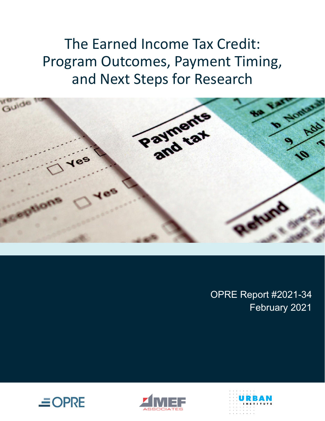The Earned Income Tax Credit: Program Outcomes, Payment Timing, and Next Steps for Research



OPRE Report #2021-34 February 2021





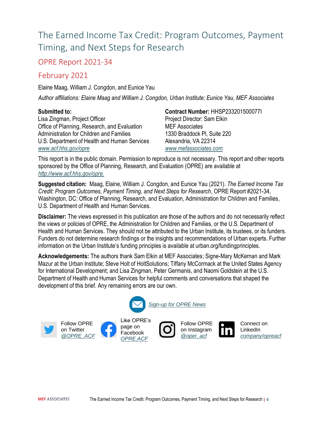# The Earned Income Tax Credit: Program Outcomes, Payment Timing, and Next Steps for Research

#### OPRE Report 2021-34

#### February 2021

Elaine Maag, William J. Congdon, and Eunice Yau

*Author affiliations: Elaine Maag and William J. Congdon, Urban Institute; Eunice Yau, MEF Associates*

#### **Submitted to:**

Lisa Zingman, Project Officer Office of Planning, Research, and Evaluation Administration for Children and Families U.S. Department of Health and Human Services *[www.acf.hhs.gov/opre](http://www.acf.hhs.gov/opre)*

**Contract Number:** HHSP233201500077I Project Director: Sam Elkin MEF Associates 1330 Braddock Pl, Suite 220 Alexandria, VA 22314 *[www.mefassociates.com](http://www.mefassociates.com/)*

This report is in the public domain. Permission to reproduce is not necessary. This report and other reports sponsored by the Office of Planning, Research, and Evaluation (OPRE) are available at *[http://www.acf.hhs.gov/opre.](http://www.acf.hhs.gov/opre)*

**Suggested citation:** Maag, Elaine, William J. Congdon, and Eunice Yau (2021). *The Earned Income Tax Credit: Program Outcomes, Payment Timing, and Next Steps for Research,* OPRE Report #2021-34, Washington, DC: Office of Planning, Research, and Evaluation, Administration for Children and Families, U.S. Department of Health and Human Services.

**Disclaimer:** The views expressed in this publication are those of the authors and do not necessarily reflect the views or policies of OPRE, the Administration for Children and Families, or the U.S. Department of Health and Human Services. They should not be attributed to the Urban Institute, its trustees, or its funders. Funders do not determine research findings or the insights and recommendations of Urban experts. Further information on the Urban Institute's funding principles is available at urban.org/fundingprinciples.

**Acknowledgements:** The authors thank Sam Elkin at MEF Associates; Signe-Mary McKernan and Mark Mazur at the Urban Institute; Steve Holt of HoltSolutions; Tiffany McCormack at the United States Agency for International Development; and Lisa Zingman, Peter Germanis, and Naomi Goldstein at the U.S. Department of Health and Human Services for helpful comments and conversations that shaped the development of this brief. Any remaining errors are our own.

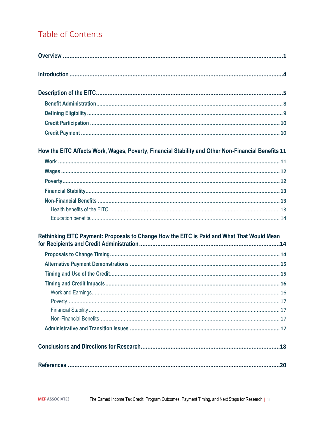# Table of Contents

| How the EITC Affects Work, Wages, Poverty, Financial Stability and Other Non-Financial Benefits 11 |  |
|----------------------------------------------------------------------------------------------------|--|
|                                                                                                    |  |
|                                                                                                    |  |
|                                                                                                    |  |
|                                                                                                    |  |
|                                                                                                    |  |
|                                                                                                    |  |
|                                                                                                    |  |
| Rethinking EITC Payment: Proposals to Change How the EITC is Paid and What That Would Mean         |  |
|                                                                                                    |  |
|                                                                                                    |  |
|                                                                                                    |  |
|                                                                                                    |  |
|                                                                                                    |  |
|                                                                                                    |  |
|                                                                                                    |  |
|                                                                                                    |  |
|                                                                                                    |  |
|                                                                                                    |  |
|                                                                                                    |  |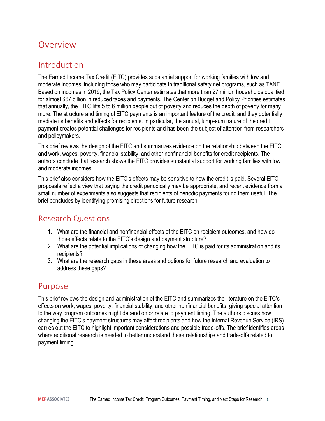## <span id="page-3-0"></span>**Overview**

#### Introduction

The Earned Income Tax Credit (EITC) provides substantial support for working families with low and moderate incomes, including those who may participate in traditional safety net programs, such as TANF. Based on incomes in 2019, the Tax Policy Center estimates that more than 27 million households qualified for almost \$67 billion in reduced taxes and payments. The Center on Budget and Policy Priorities estimates that annually, the EITC lifts 5 to 6 million people out of poverty and reduces the depth of poverty for many more. The structure and timing of EITC payments is an important feature of the credit, and they potentially mediate its benefits and effects for recipients. In particular, the annual, lump-sum nature of the credit payment creates potential challenges for recipients and has been the subject of attention from researchers and policymakers.

This brief reviews the design of the EITC and summarizes evidence on the relationship between the EITC and work, wages, poverty, financial stability, and other nonfinancial benefits for credit recipients. The authors conclude that research shows the EITC provides substantial support for working families with low and moderate incomes.

This brief also considers how the EITC's effects may be sensitive to how the credit is paid. Several EITC proposals reflect a view that paying the credit periodically may be appropriate, and recent evidence from a small number of experiments also suggests that recipients of periodic payments found them useful. The brief concludes by identifying promising directions for future research.

#### Research Questions

- 1. What are the financial and nonfinancial effects of the EITC on recipient outcomes, and how do those effects relate to the EITC's design and payment structure?
- 2. What are the potential implications of changing how the EITC is paid for its administration and its recipients?
- 3. What are the research gaps in these areas and options for future research and evaluation to address these gaps?

#### Purpose

This brief reviews the design and administration of the EITC and summarizes the literature on the EITC's effects on work, wages, poverty, financial stability, and other nonfinancial benefits, giving special attention to the way program outcomes might depend on or relate to payment timing. The authors discuss how changing the EITC's payment structures may affect recipients and how the Internal Revenue Service (IRS) carries out the EITC to highlight important considerations and possible trade-offs. The brief identifies areas where additional research is needed to better understand these relationships and trade-offs related to payment timing.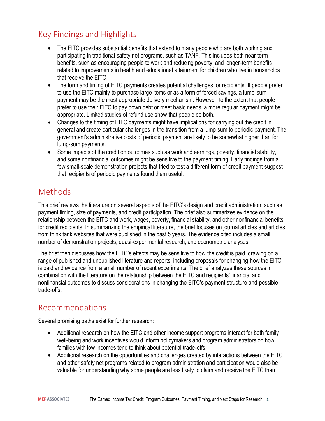## Key Findings and Highlights

- The EITC provides substantial benefits that extend to many people who are both working and participating in traditional safety net programs, such as TANF. This includes both near-term benefits, such as encouraging people to work and reducing poverty, and longer-term benefits related to improvements in health and educational attainment for children who live in households that receive the EITC.
- The form and timing of EITC payments creates potential challenges for recipients. If people prefer to use the EITC mainly to purchase large items or as a form of forced savings, a lump-sum payment may be the most appropriate delivery mechanism. However, to the extent that people prefer to use their EITC to pay down debt or meet basic needs, a more regular payment might be appropriate. Limited studies of refund use show that people do both.
- Changes to the timing of EITC payments might have implications for carrying out the credit in general and create particular challenges in the transition from a lump sum to periodic payment. The government's administrative costs of periodic payment are likely to be somewhat higher than for lump-sum payments.
- Some impacts of the credit on outcomes such as work and earnings, poverty, financial stability, and some nonfinancial outcomes might be sensitive to the payment timing. Early findings from a few small-scale demonstration projects that tried to test a different form of credit payment suggest that recipients of periodic payments found them useful.

# Methods

This brief reviews the literature on several aspects of the EITC's design and credit administration, such as payment timing, size of payments, and credit participation. The brief also summarizes evidence on the relationship between the EITC and work, wages, poverty, financial stability, and other nonfinancial benefits for credit recipients. In summarizing the empirical literature, the brief focuses on journal articles and articles from think tank websites that were published in the past 5 years. The evidence cited includes a small number of demonstration projects, quasi-experimental research, and econometric analyses.

The brief then discusses how the EITC's effects may be sensitive to how the credit is paid, drawing on a range of published and unpublished literature and reports, including proposals for changing how the EITC is paid and evidence from a small number of recent experiments. The brief analyzes these sources in combination with the literature on the relationship between the EITC and recipients' financial and nonfinancial outcomes to discuss considerations in changing the EITC's payment structure and possible trade-offs.

## Recommendations

Several promising paths exist for further research:

- Additional research on how the EITC and other income support programs interact for both family well-being and work incentives would inform policymakers and program administrators on how families with low incomes tend to think about potential trade-offs.
- Additional research on the opportunities and challenges created by interactions between the EITC and other safety net programs related to program administration and participation would also be valuable for understanding why some people are less likely to claim and receive the EITC than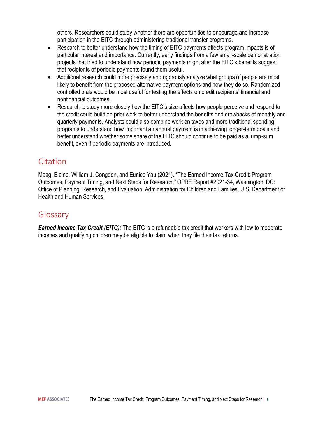others. Researchers could study whether there are opportunities to encourage and increase participation in the EITC through administering traditional transfer programs.

- Research to better understand how the timing of EITC payments affects program impacts is of particular interest and importance. Currently, early findings from a few small-scale demonstration projects that tried to understand how periodic payments might alter the EITC's benefits suggest that recipients of periodic payments found them useful.
- Additional research could more precisely and rigorously analyze what groups of people are most likely to benefit from the proposed alternative payment options and how they do so. Randomized controlled trials would be most useful for testing the effects on credit recipients' financial and nonfinancial outcomes.
- Research to study more closely how the EITC's size affects how people perceive and respond to the credit could build on prior work to better understand the benefits and drawbacks of monthly and quarterly payments. Analysts could also combine work on taxes and more traditional spending programs to understand how important an annual payment is in achieving longer-term goals and better understand whether some share of the EITC should continue to be paid as a lump-sum benefit, even if periodic payments are introduced.

#### Citation

Maag, Elaine, William J. Congdon, and Eunice Yau (2021). "The Earned Income Tax Credit: Program Outcomes, Payment Timing, and Next Steps for Research," OPRE Report #2021-34, Washington, DC: Office of Planning, Research, and Evaluation, Administration for Children and Families, U.S. Department of Health and Human Services.

#### Glossary

*Earned Income Tax Credit (EITC):* The EITC is a refundable tax credit that workers with low to moderate incomes and qualifying children may be eligible to claim when they file their tax returns.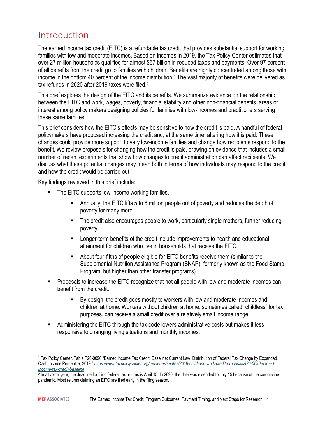# <span id="page-6-0"></span>Introduction

The earned income tax credit (EITC) is a refundable tax credit that provides substantial support for working families with low and moderate incomes. Based on incomes in 2019, the Tax Policy Center estimates that over 27 million households qualified for almost \$67 billion in reduced taxes and payments. Over 97 percent of all benefits from the credit go to families with children. Benefits are highly concentrated among those with income in the bottom 40 percent of the income distribution.<sup>1</sup> The vast majority of benefits were delivered as tax refunds in 2020 after 2019 taxes were filed.<sup>2</sup>

This brief explores the design of the EITC and its benefits. We summarize evidence on the relationship between the EITC and work, wages, poverty, financial stability and other non-financial benefits, areas of interest among policy makers designing policies for families with low-incomes and practitioners serving these same families.

This brief considers how the EITC's effects may be sensitive to how the credit is paid. A handful of federal policymakers have proposed increasing the credit and, at the same time, altering how it is paid. These changes could provide more support to very low-income families and change how recipients respond to the benefit. We review proposals for changing how the credit is paid, drawing on evidence that includes a small number of recent experiments that show how changes to credit administration can affect recipients. We discuss what these potential changes may mean both in terms of how individuals may respond to the credit and how the credit would be carried out.

Key findings reviewed in this brief include:

- The EITC supports low-income working families.
	- Annually, the EITC lifts 5 to 6 million people out of poverty and reduces the depth of poverty for many more.
	- The credit also encourages people to work, particularly single mothers, further reducing poverty.
	- Longer-term benefits of the credit include improvements to health and educational attainment for children who live in households that receive the EITC.
	- About four-fifths of people eligible for EITC benefits receive them (similar to the Supplemental Nutrition Assistance Program (SNAP), formerly known as the Food Stamp Program, but higher than other transfer programs).
- Proposals to increase the EITC recognize that not all people with low and moderate incomes can benefit from the credit.
	- By design, the credit goes mostly to workers with low and moderate incomes and children at home. Workers without children at home, sometimes called "childless" for tax purposes, can receive a small credit over a relatively small income range.
- Administering the EITC through the tax code lowers administrative costs but makes it less responsive to changing living situations and monthly incomes.

<sup>1</sup> Tax Policy Center, Table T20-0090 "Earned Income Tax Credit; Baseline; Current Law; Distribution of Federal Tax Change by Expanded Cash Income Percentile, 2019." *[https://www.taxpolicycenter.org/model-estimates/2019-child-and-work-credit-proposals/t20-0090-earned](https://www.taxpolicycenter.org/model-estimates/2019-child-and-work-credit-proposals/t20-0090-earned-income-tax-credit-baseline)[income-tax-credit-baseline](https://www.taxpolicycenter.org/model-estimates/2019-child-and-work-credit-proposals/t20-0090-earned-income-tax-credit-baseline)*

<sup>2</sup> In a typical year, the deadline for filing federal tax returns is April 15. In 2020, the date was extended to July 15 because of the coronavirus pandemic. Most returns claiming an EITC are filed early in the filing season.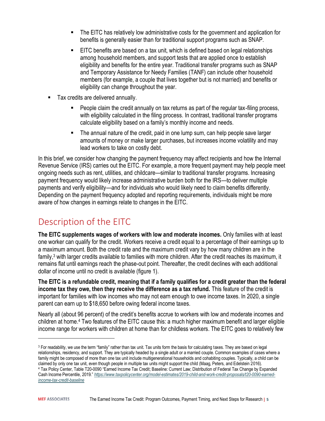- The EITC has relatively low administrative costs for the government and application for benefits is generally easier than for traditional support programs such as SNAP.
- **EITC benefits are based on a tax unit, which is defined based on legal relationships** among household members, and support tests that are applied once to establish eligibility and benefits for the entire year. Traditional transfer programs such as SNAP and Temporary Assistance for Needy Families (TANF) can include other household members (for example, a couple that lives together but is not married) and benefits or eligibility can change throughout the year.
- Tax credits are delivered annually.
	- People claim the credit annually on tax returns as part of the regular tax-filing process, with eligibility calculated in the filing process. In contrast, traditional transfer programs calculate eligibility based on a family's monthly income and needs.
	- The annual nature of the credit, paid in one lump sum, can help people save larger amounts of money or make larger purchases, but increases income volatility and may lead workers to take on costly debt.

In this brief, we consider how changing the payment frequency may affect recipients and how the Internal Revenue Service (IRS) carries out the EITC. For example, a more frequent payment may help people meet ongoing needs such as rent, utilities, and childcare—similar to traditional transfer programs. Increasing payment frequency would likely increase administrative burden both for the IRS—to deliver multiple payments and verify eligibility—and for individuals who would likely need to claim benefits differently. Depending on the payment frequency adopted and reporting requirements, individuals might be more aware of how changes in earnings relate to changes in the EITC.

# <span id="page-7-0"></span>Description of the EITC

**The EITC supplements wages of workers with low and moderate incomes.** Only families with at least one worker can qualify for the credit. Workers receive a credit equal to a percentage of their earnings up to a maximum amount. Both the credit rate and the maximum credit vary by how many children are in the family,<sup>3</sup> with larger credits available to families with more children. After the credit reaches its maximum, it remains flat until earnings reach the phase-out point. Thereafter, the credit declines with each additional dollar of income until no credit is available (figure 1).

**The EITC is a refundable credit, meaning that if a family qualifies for a credit greater than the federal income tax they owe, then they receive the difference as a tax refund.** This feature of the credit is important for families with low incomes who may not earn enough to owe income taxes. In 2020, a single parent can earn up to \$18,650 before owing federal income taxes.

Nearly all (about 96 percent) of the credit's benefits accrue to workers with low and moderate incomes and children at home. <sup>4</sup> Two features of the EITC cause this: a much higher maximum benefit and larger eligible income range for workers with children at home than for childless workers. The EITC goes to relatively few

<sup>&</sup>lt;sup>3</sup> For readability, we use the term "family" rather than tax unit. Tax units form the basis for calculating taxes. They are based on legal relationships, residency, and support. They are typically headed by a single adult or a married couple. Common examples of cases where a family might be composed of more than one tax unit include multigenerational households and cohabiting couples. Typically, a child can be claimed by only one tax unit, even though people in multiple tax units might support the child (Maag, Peters, and Edelstein 2016). <sup>4</sup> Tax Policy Center, Table T20-0090 "Earned Income Tax Credit; Baseline: Current Law; Distribution of Federal Tax Change by Expanded Cash Income Percentile, 2019." *[https://www.taxpolicycenter.org/model-estimates/2019-child-and-work-credit-proposals/t20-0090-earned](https://www.taxpolicycenter.org/model-estimates/2019-child-and-work-credit-proposals/t20-0090-earned-income-tax-credit-baseline)[income-tax-credit-baseline](https://www.taxpolicycenter.org/model-estimates/2019-child-and-work-credit-proposals/t20-0090-earned-income-tax-credit-baseline)*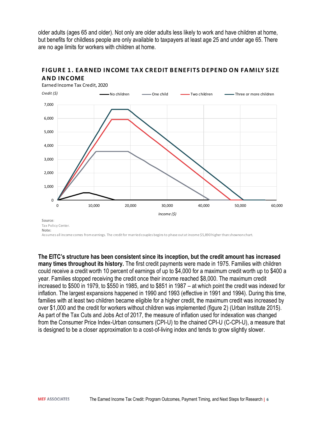older adults (ages 65 and older). Not only are older adults less likely to work and have children at home, but benefits for childless people are only available to taxpayers at least age 25 and under age 65. There are no age limits for workers with children at home.<br>**FIGURE 1. EARNED INCOME TAX CREDIT BENEFITS DEPEND ON FAMILY S** 



# are no age limits for workers with children at home.<br> **FIGURE 1. EARNED INCOME TAX CRE**<br> **AND INCOME**<br>
Earned Income Tax Credit, 2020

Assumes all income comes from earnings. The credit for married couples begins to phase out at income \$5,890 higher than showno nchart.

**The EITC's structure has been consistent since its inception, but the credit amount has increased many times throughout its history.** The first credit payments were made in 1975. Families with children could receive a credit worth 10 percent of earnings of up to \$4,000 for a maximum credit worth up to \$400 a year. Families stopped receiving the credit once their income reached \$8,000. The maximum credit increased to \$500 in 1979, to \$550 in 1985, and to \$851 in 1987 – at which point the credit was indexed for inflation. The largest expansions happened in 1990 and 1993 (effective in 1991 and 1994). During this time, families with at least two children became eligible for a higher credit, the maximum credit was increased by over \$1,000 and the credit for workers without children was implemented (figure 2) (Urban Institute 2015). As part of the Tax Cuts and Jobs Act of 2017, the measure of inflation used for indexation was changed from the Consumer Price Index-Urban consumers (CPI-U) to the chained CPI-U (C-CPI-U), a measure that is designed to be a closer approximation to a cost-of-living index and tends to grow slightly slower.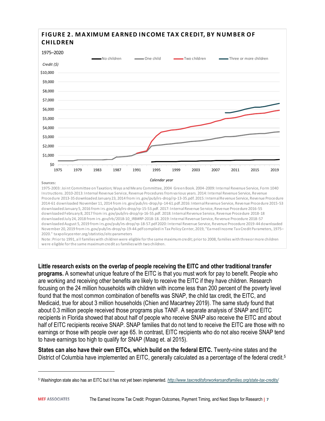

2014-61 downloaded November 11, 2014 from irs.gov/pub/irs-drop/rp-14-61.pdf.2016: Internal Revenue Service, Revenue Procedure 2015-53 downloaded January 5, 2016 from irs.gov/pub/irs-drop/rp-15-53.pdf. 2017: Internal Revenue Service, Revenue Procedure 2016-55 downloaded February 8, 2017 from irs.gov/pub/irs-drop/rp-16-55.pdf. 2018: Internal Revenue Service, Revenue Procedure 2018-18 downloaded July 24, 2018 from irs.gov/irb/2018-10\_IRB#RP-2018-18. 2019: Internal Revenue Service, Revenue Procedure 2018-57 downloaded August 5, 2019 from irs.gov/pub/irs-drop/rp-18-57.pdf 2020: Internal Revenue Service, Revenue Procedure 2019-44 downloaded November 20, 2019 from irs.gov/pub/irs-drop/rp-19-44.pdf compiled in Tax Policy Center, 2019, "Earned Income Tax Credit Parameters, 1975– 2020." taxpolicycenter.org/statistics/eitc-parameters

Note: Prior to 1991, all families with children were eligible for the same maximum credit; prior to 2008, families with threeo rmore children were eligible for the same maximum credit as families with two children.

**Little research exists on the overlap of people receiving the EITC and other traditional transfer programs.** A somewhat unique feature of the EITC is that you must work for pay to benefit. People who are working and receiving other benefits are likely to receive the EITC if they have children. Research focusing on the 24 million households with children with income less than 200 percent of the poverty level found that the most common combination of benefits was SNAP, the child tax credit, the EITC, and Medicaid, true for about 3 million households (Chien and Macartney 2019). The same study found that about 0.3 million people received those programs plus TANF. A separate analysis of SNAP and EITC recipients in Florida showed that about half of people who receive SNAP also receive the EITC and about half of EITC recipients receive SNAP. SNAP families that do not tend to receive the EITC are those with no earnings or those with people over age 65. In contrast, EITC recipients who do not also receive SNAP tend to have earnings too high to qualify for SNAP (Maag et. al 2015).

**States can also have their own EITCs, which build on the federal EITC.** Twenty-nine states and the District of Columbia have implemented an EITC, generally calculated as a percentage of the federal credit.<sup>5</sup>

<sup>5</sup> Washington state also has an EITC but it has not yet been implemented. *<http://www.taxcreditsforworkersandfamilies.org/state-tax-credits/>*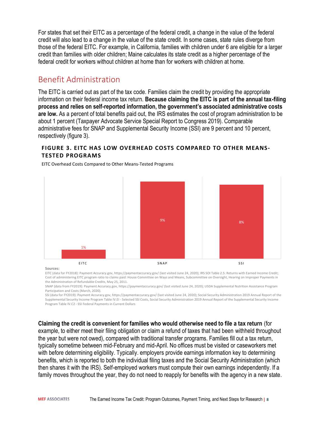For states that set their EITC as a percentage of the federal credit, a change in the value of the federal credit will also lead to a change in the value of the state credit. In some cases, state rules diverge from those of the federal EITC. For example, in California, families with children under 6 are eligible for a larger credit than families with older children; Maine calculates its state credit as a higher percentage of the federal credit for workers without children at home than for workers with children at home.

#### <span id="page-10-0"></span>Benefit Administration

The EITC is carried out as part of the tax code. Families claim the credit by providing the appropriate information on their federal income tax return. **Because claiming the EITC is part of the annual tax-filing process and relies on self-reported information, the government's associated administrative costs are low.** As a percent of total benefits paid out, the IRS estimates the cost of program administration to be about 1 percent (Taxpayer Advocate Service Special Report to Congress 2019). Comparable administrative fees for SNAP and Supplemental Security Income (SSI) are 9 percent and 10 percent, respectively (figure 3).

#### **FIGURE 3. EITC HAS LOW OVERHEAD COSTS COMPARED TO OTHER MEANS-TESTED PROGRAMS**



EITC Overhead Costs Compared to Other Means-Tested Programs

**Sources:**

EITC (data for FY2018): Payment Accuracy.gov, https://paymentaccuracy.gov/ (last visited June 24, 2020); IRS SOI Table 2.5: Returns with Earned Income Credit; Cost of administering EITC program ratio to claims paid: House Committee on Ways and Means, Subcommittee on Oversight, Hearing on Improper Payments in the Administration of Refundable Credits, May 25, 2011.

SNAP (data from FY2019): Payment Accuracy.gov, https://paymentaccuracy.gov/ (last visited June 24, 2020); USDA Supplemental Nutrition Assistance Program Participation and Costs (March, 2020).

SSI (data for FY2019): Payment Accuracy.gov, https://paymentaccuracy.gov/ (last visited June 24, 2020); Social Security Administration 2019 Annual Report of the Supplemental Security Income Program Table IV.EI - Selected SSI Costs, Social Security Administration 2019 Annual Report of the Supplemental Security Income Program Table IV.C2 - SSI Federal Payments in Current Dollars

**Claiming the credit is convenient for families who would otherwise need to file a tax return** (for example, to either meet their filing obligation or claim a refund of taxes that had been withheld throughout the year but were not owed), compared with traditional transfer programs. Families fill out a tax return, typically sometime between mid-February and mid-April. No offices must be visited or caseworkers met with before determining eligibility. Typically. employers provide earnings information key to determining benefits, which is reported to both the individual filing taxes and the Social Security Administration (which then shares it with the IRS). Self-employed workers must compute their own earnings independently. If a family moves throughout the year, they do not need to reapply for benefits with the agency in a new state.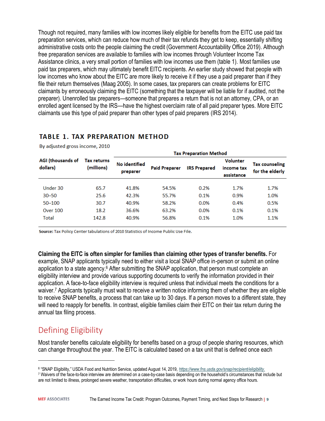Though not required, many families with low incomes likely eligible for benefits from the EITC use paid tax preparation services, which can reduce how much of their tax refunds they get to keep, essentially shifting administrative costs onto the people claiming the credit (Government Accountability Office 2019). Although free preparation services are available to families with low incomes through Volunteer Income Tax Assistance clinics, a very small portion of families with low incomes use them (table 1). Most families use paid tax preparers, which may ultimately benefit EITC recipients. An earlier study showed that people with low incomes who know about the EITC are more likely to receive it if they use a paid preparer than if they file their return themselves (Maag 2005). In some cases, tax preparers can create problems for EITC claimants by erroneously claiming the EITC (something that the taxpayer will be liable for if audited, not the preparer). Unenrolled tax preparers—someone that prepares a return that is not an attorney, CPA, or an enrolled agent licensed by the IRS—have the highest overclaim rate of all paid preparer types. More EITC claimants use this type of paid preparer than other types of paid preparers (IRS 2014).

#### **TABLE 1. TAX PREPARATION METHOD**

|                               |                                  | <b>Tax Preparation Method</b> |                      |                     |                                             |                                   |
|-------------------------------|----------------------------------|-------------------------------|----------------------|---------------------|---------------------------------------------|-----------------------------------|
| AGI (thousands of<br>dollars) | <b>Tax returns</b><br>(millions) | No identified<br>preparer     | <b>Paid Preparer</b> | <b>IRS Prepared</b> | <b>Volunter</b><br>income tax<br>assistance | Tax counseling<br>for the elderly |
| Under 30                      | 65.7                             | 41.8%                         | 54.5%                | 0.2%                | 1.7%                                        | 1.7%                              |
| $30 - 50$                     | 25.6                             | 42.3%                         | 55.7%                | 0.1%                | 0.9%                                        | 1.0%                              |
| 50-100                        | 30.7                             | 40.9%                         | 58.2%                | 0.0%                | 0.4%                                        | 0.5%                              |
| <b>Over 100</b>               | 18.2                             | 36.6%                         | 63.2%                | 0.0%                | 0.1%                                        | 0.1%                              |
| Total                         | 142.8                            | 40.9%                         | 56.8%                | 0.1%                | 1.0%                                        | 1.1%                              |

By adjusted gross income, 2010

Source: Tax Policy Center tabulations of 2010 Statistics of Income Public Use File.

**Claiming the EITC is often simpler for families than claiming other types of transfer benefits.** For example, SNAP applicants typically need to either visit a local SNAP office in-person or submit an online application to a state agency. $6$  After submitting the SNAP application, that person must complete an eligibility interview and provide various supporting documents to verify the information provided in their application. A face-to-face eligibility interview is required unless that individual meets the conditions for a waiver.<sup>7</sup> Applicants typically must wait to receive a written notice informing them of whether they are eligible to receive SNAP benefits, a process that can take up to 30 days. If a person moves to a different state, they will need to reapply for benefits. In contrast, eligible families claim their EITC on their tax return during the annual tax filing process.

## <span id="page-11-0"></span>Defining Eligibility

Most transfer benefits calculate eligibility for benefits based on a group of people sharing resources, which can change throughout the year. The EITC is calculated based on a tax unit that is defined once each

<sup>6</sup> "SNAP Eligibility," USDA Food and Nutrition Service, updated August 14, 2019, *[https://www.fns.usda.gov/snap/recipient/eligibility.](https://www.fns.usda.gov/snap/recipient/eligibility)*

<sup>7</sup> Waivers of the face-to-face interview are determined on a case-by-case basis depending on the household's circumstances that include but are not limited to illness, prolonged severe weather, transportation difficulties, or work hours during normal agency office hours.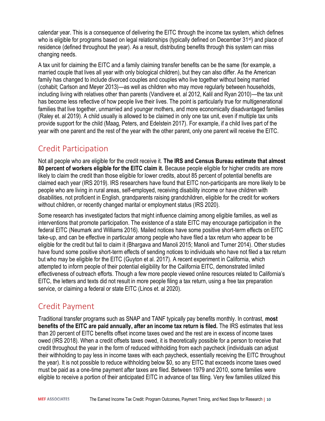calendar year. This is a consequence of delivering the EITC through the income tax system, which defines who is eligible for programs based on legal relationships (typically defined on December 31<sup>st</sup>) and place of residence (defined throughout the year). As a result, distributing benefits through this system can miss changing needs.

A tax unit for claiming the EITC and a family claiming transfer benefits can be the same (for example, a married couple that lives all year with only biological children), but they can also differ. As the American family has changed to include divorced couples and couples who live together without being married (cohabit; Carlson and Meyer 2013)—as well as children who may move regularly between households, including living with relatives other than parents (Vandivere et. al 2012, Kalil and Ryan 2010)—the tax unit has become less reflective of how people live their lives. The point is particularly true for multigenerational families that live together, unmarried and younger mothers, and more economically disadvantaged families (Raley et. al 2019). A child usually is allowed to be claimed in only one tax unit, even if multiple tax units provide support for the child (Maag, Peters, and Edelstein 2017). For example, if a child lives part of the year with one parent and the rest of the year with the other parent, only one parent will receive the EITC.

#### <span id="page-12-0"></span>Credit Participation

Not all people who are eligible for the credit receive it. **The IRS and Census Bureau estimate that almost 80 percent of workers eligible for the EITC claim it.** Because people eligible for higher credits are more likely to claim the credit than those eligible for lower credits, about 85 percent of potential benefits are claimed each year (IRS 2019). IRS researchers have found that EITC non-participants are more likely to be people who are living in rural areas, self-employed, receiving disability income or have children with disabilities, not proficient in English, grandparents raising grandchildren, eligible for the credit for workers without children, or recently changed marital or employment status (IRS 2020).

Some research has investigated factors that might influence claiming among eligible families, as well as interventions that promote participation. The existence of a state EITC may encourage participation in the federal EITC (Neumark and Williams 2016). Mailed notices have some positive short-term effects on EITC take-up, and can be effective in particular among people who have filed a tax return who appear to be eligible for the credit but fail to claim it (Bhargava and Manoli 2015; Manoli and Turner 2014). Other studies have found some positive short-term effects of sending notices to individuals who have not filed a tax return but who may be eligible for the EITC (Guyton et al. 2017). A recent experiment in California, which attempted to inform people of their potential eligibility for the California EITC, demonstrated limited effectiveness of outreach efforts. Though a few more people viewed online resources related to California's EITC, the letters and texts did not result in more people filing a tax return, using a free tax preparation service, or claiming a federal or state EITC (Linos et. al 2020).

## <span id="page-12-1"></span>Credit Payment

Traditional transfer programs such as SNAP and TANF typically pay benefits monthly. In contrast, **most benefits of the EITC are paid annually, after an income tax return is filed.** The IRS estimates that less than 20 percent of EITC benefits offset income taxes owed and the rest are in excess of income taxes owed (IRS 2018). When a credit offsets taxes owed, it is theoretically possible for a person to receive that credit throughout the year in the form of reduced withholding from each paycheck (individuals can adjust their withholding to pay less in income taxes with each paycheck, essentially receiving the EITC throughout the year). It is not possible to reduce withholding below \$0, so any EITC that exceeds income taxes owed must be paid as a one-time payment after taxes are filed. Between 1979 and 2010, some families were eligible to receive a portion of their anticipated EITC in advance of tax filing. Very few families utilized this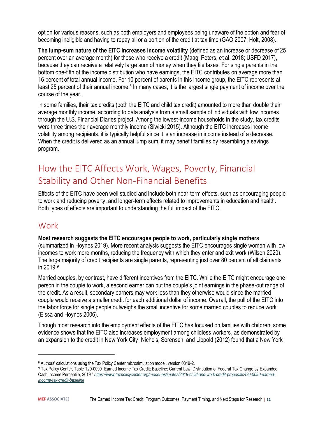option for various reasons, such as both employers and employees being unaware of the option and fear of becoming ineligible and having to repay all or a portion of the credit at tax time (GAO 2007; Holt, 2008).

**The lump-sum nature of the EITC increases income volatility** (defined as an increase or decrease of 25 percent over an average month) for those who receive a credit (Maag, Peters, et al. 2018; USFD 2017), because they can receive a relatively large sum of money when they file taxes. For single parents in the bottom one-fifth of the income distribution who have earnings, the EITC contributes on average more than 16 percent of total annual income. For 10 percent of parents in this income group, the EITC represents at least 25 percent of their annual income.<sup>8</sup> In many cases, it is the largest single payment of income over the course of the year.

In some families, their tax credits (both the EITC and child tax credit) amounted to more than double their average monthly income, according to data analysis from a small sample of individuals with low incomes through the U.S. Financial Diaries project. Among the lowest-income households in the study, tax credits were three times their average monthly income (Siwicki 2015). Although the EITC increases income volatility among recipients, it is typically helpful since it is an increase in income instead of a decrease. When the credit is delivered as an annual lump sum, it may benefit families by resembling a savings program.

# <span id="page-13-0"></span>How the EITC Affects Work, Wages, Poverty, Financial Stability and Other Non-Financial Benefits

Effects of the EITC have been well studied and include both near-term effects, such as encouraging people to work and reducing poverty, and longer-term effects related to improvements in education and health. Both types of effects are important to understanding the full impact of the EITC.

## <span id="page-13-1"></span>Work

#### **Most research suggests the EITC encourages people to work, particularly single mothers**

(summarized in Hoynes 2019). More recent analysis suggests the EITC encourages single women with low incomes to work more months, reducing the frequency with which they enter and exit work (Wilson 2020). The large majority of credit recipients are single parents, representing just over 80 percent of all claimants in 2019.<sup>9</sup>

Married couples, by contrast, have different incentives from the EITC. While the EITC might encourage one person in the couple to work, a second earner can put the couple's joint earnings in the phase-out range of the credit. As a result, secondary earners may work less than they otherwise would since the married couple would receive a smaller credit for each additional dollar of income. Overall, the pull of the EITC into the labor force for single people outweighs the small incentive for some married couples to reduce work (Eissa and Hoynes 2006).

Though most research into the employment effects of the EITC has focused on families with children, some evidence shows that the EITC also increases employment among childless workers, as demonstrated by an expansion to the credit in New York City. Nichols, Sorensen, and Lippold (2012) found that a New York

<sup>8</sup> Authors' calculations using the Tax Policy Center microsimulation model, version 0319-2.

<sup>9</sup> Tax Policy Center, Table T20-0090 "Earned Income Tax Credit; Baseline; Current Law; Distribution of Federal Tax Change by Expanded Cash Income Percentile, 2019." *[https://www.taxpolicycenter.org/model-estimates/2019-child-and-work-credit-proposals/t20-0090-earned](https://www.taxpolicycenter.org/model-estimates/2019-child-and-work-credit-proposals/t20-0090-earned-income-tax-credit-baseline)[income-tax-credit-baseline](https://www.taxpolicycenter.org/model-estimates/2019-child-and-work-credit-proposals/t20-0090-earned-income-tax-credit-baseline)*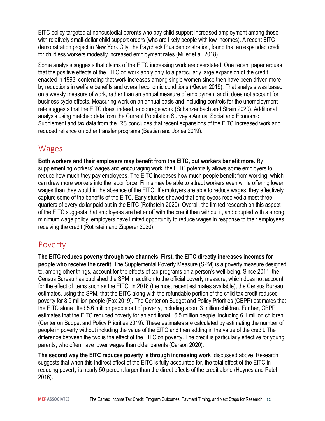EITC policy targeted at noncustodial parents who pay child support increased employment among those with relatively small-dollar child support orders (who are likely people with low incomes). A recent EITC demonstration project in New York City, the Paycheck Plus demonstration, found that an expanded credit for childless workers modestly increased employment rates (Miller et al. 2018).

Some analysis suggests that claims of the EITC increasing work are overstated. One recent paper argues that the positive effects of the EITC on work apply only to a particularly large expansion of the credit enacted in 1993, contending that work increases among single women since then have been driven more by reductions in welfare benefits and overall economic conditions (Kleven 2019). That analysis was based on a weekly measure of work, rather than an annual measure of employment and it does not account for business cycle effects. Measuring work on an annual basis and including controls for the unemployment rate suggests that the EITC does, indeed, encourage work (Schanzenbach and Strain 2020). Additional analysis using matched data from the Current Population Survey's Annual Social and Economic Supplement and tax data from the IRS concludes that recent expansions of the EITC increased work and reduced reliance on other transfer programs (Bastian and Jones 2019).

#### <span id="page-14-0"></span>Wages

**Both workers and their employers may benefit from the EITC, but workers benefit more.** By supplementing workers' wages and encouraging work, the EITC potentially allows some employers to reduce how much they pay employees. The EITC increases how much people benefit from working, which can draw more workers into the labor force. Firms may be able to attract workers even while offering lower wages than they would in the absence of the EITC. If employers are able to reduce wages, they effectively capture some of the benefits of the EITC. Early studies showed that employees received almost threequarters of every dollar paid out in the EITC (Rothstein 2020). Overall, the limited research on this aspect of the EITC suggests that employees are better off with the credit than without it, and coupled with a strong minimum wage policy, employers have limited opportunity to reduce wages in response to their employees receiving the credit (Rothstein and Zipperer 2020).

#### <span id="page-14-1"></span>Poverty

**The EITC reduces poverty through two channels. First, the EITC directly increases incomes for people who receive the credit**. The Supplemental Poverty Measure (SPM) is a poverty measure designed to, among other things, account for the effects of tax programs on a person's well-being. Since 2011, the Census Bureau has published the SPM in addition to the official poverty measure, which does not account for the effect of items such as the EITC. In 2018 (the most recent estimates available), the Census Bureau estimates, using the SPM, that the EITC along with the refundable portion of the child tax credit reduced poverty for 8.9 million people (Fox 2019). The Center on Budget and Policy Priorities (CBPP) estimates that the EITC alone lifted 5.6 million people out of poverty, including about 3 million children. Further, CBPP estimates that the EITC reduced poverty for an additional 16.5 million people, including 6.1 million children (Center on Budget and Policy Priorities 2019). These estimates are calculated by estimating the number of people in poverty without including the value of the EITC and then adding in the value of the credit. The difference between the two is the effect of the EITC on poverty. The credit is particularly effective for young parents, who often have lower wages than older parents (Carson 2020).

**The second way the EITC reduces poverty is through increasing work**, discussed above. Research suggests that when this indirect effect of the EITC is fully accounted for, the total effect of the EITC in reducing poverty is nearly 50 percent larger than the direct effects of the credit alone (Hoynes and Patel 2016).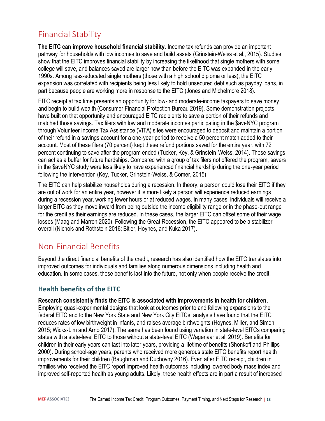## <span id="page-15-0"></span>Financial Stability

**The EITC can improve household financial stability.** Income tax refunds can provide an important pathway for households with low incomes to save and build assets (Grinstein-Weiss et al., 2015). Studies show that the EITC improves financial stability by increasing the likelihood that single mothers with some college will save, and balances saved are larger now than before the EITC was expanded in the early 1990s. Among less-educated single mothers (those with a high school diploma or less), the EITC expansion was correlated with recipients being less likely to hold unsecured debt such as payday loans, in part because people are working more in response to the EITC (Jones and Michelmore 2018).

EITC receipt at tax time presents an opportunity for low- and moderate-income taxpayers to save money and begin to build wealth (Consumer Financial Protection Bureau 2019). Some demonstration projects have built on that opportunity and encouraged EITC recipients to save a portion of their refunds and matched those savings. Tax filers with low and moderate incomes participating in the \$aveNYC program through Volunteer Income Tax Assistance (VITA) sites were encouraged to deposit and maintain a portion of their refund in a savings account for a one-year period to receive a 50 percent match added to their account. Most of these filers (70 percent) kept these refund portions saved for the entire year, with 72 percent continuing to save after the program ended (Tucker, Key, & Grinstein-Weiss, 2014). Those savings can act as a buffer for future hardships. Compared with a group of tax filers not offered the program, savers in the \$aveNYC study were less likely to have experienced financial hardship during the one-year period following the intervention (Key, Tucker, Grinstein-Weiss, & Comer, 2015).

The EITC can help stabilize households during a recession. In theory, a person could lose their EITC if they are out of work for an entire year, however it is more likely a person will experience reduced earnings during a recession year, working fewer hours or at reduced wages. In many cases, individuals will receive a larger EITC as they move inward from being outside the income eligibility range or in the phase-out range for the credit as their earnings are reduced. In these cases, the larger EITC can offset some of their wage losses (Maag and Marron 2020). Following the Great Recession, the EITC appeared to be a stabilizer overall (Nichols and Rothstein 2016; Bitler, Hoynes, and Kuka 2017).

#### <span id="page-15-1"></span>Non-Financial Benefits

Beyond the direct financial benefits of the credit, research has also identified how the EITC translates into improved outcomes for individuals and families along numerous dimensions including health and education. In some cases, these benefits last into the future, not only when people receive the credit.

#### <span id="page-15-2"></span>**Health benefits of the EITC**

**Research consistently finds the EITC is associated with improvements in health for children**. Employing quasi-experimental designs that look at outcomes prior to and following expansions to the federal EITC and to the New York State and New York City EITCs, analysts have found that the EITC reduces rates of low birthweight in infants, and raises average birthweights (Hoynes, Miller, and Simon 2015; Wicks-Lim and Arno 2017). The same has been found using variation in state-level EITCs comparing states with a state-level EITC to those without a state-level EITC (Wagenaar et al. 2019). Benefits for children in their early years can last into later years, providing a lifetime of benefits (Shonkoff and Phillips 2000). During school-age years, parents who received more generous state EITC benefits report health improvements for their children (Baughman and Duchovny 2016). Even after EITC receipt, children in families who received the EITC report improved health outcomes including lowered body mass index and improved self-reported health as young adults. Likely, these health effects are in part a result of increased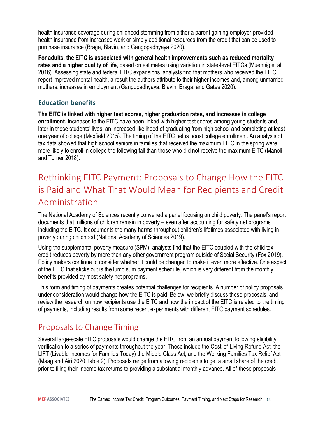health insurance coverage during childhood stemming from either a parent gaining employer provided health insurance from increased work or simply additional resources from the credit that can be used to purchase insurance (Braga, Blavin, and Gangopadhyaya 2020).

**For adults, the EITC is associated with general health improvements such as reduced mortality rates and a higher quality of life**, based on estimates using variation in state-level EITCs (Muennig et al. 2016). Assessing state and federal EITC expansions, analysts find that mothers who received the EITC report improved mental health, a result the authors attribute to their higher incomes and, among unmarried mothers, increases in employment (Gangopadhyaya, Blavin, Braga, and Gates 2020).

#### <span id="page-16-0"></span>**Education benefits**

**The EITC is linked with higher test scores, higher graduation rates, and increases in college enrollment.** Increases to the EITC have been linked with higher test scores among young students and, later in these students' lives, an increased likelihood of graduating from high school and completing at least one year of college (Maxfield 2015). The timing of the EITC helps boost college enrollment. An analysis of tax data showed that high school seniors in families that received the maximum EITC in the spring were more likely to enroll in college the following fall than those who did not receive the maximum EITC (Manoli and Turner 2018).

# <span id="page-16-1"></span>Rethinking EITC Payment: Proposals to Change How the EITC is Paid and What That Would Mean for Recipients and Credit Administration

The National Academy of Sciences recently convened a panel focusing on child poverty. The panel's report documents that millions of children remain in poverty – even after accounting for safety net programs including the EITC. It documents the many harms throughout children's lifetimes associated with living in poverty during childhood (National Academy of Sciences 2019).

Using the supplemental poverty measure (SPM), analysts find that the EITC coupled with the child tax credit reduces poverty by more than any other government program outside of Social Security (Fox 2019). Policy makers continue to consider whether it could be changed to make it even more effective. One aspect of the EITC that sticks out is the lump sum payment schedule, which is very different from the monthly benefits provided by most safety net programs.

This form and timing of payments creates potential challenges for recipients. A number of policy proposals under consideration would change how the EITC is paid. Below, we briefly discuss these proposals, and review the research on how recipients use the EITC and how the impact of the EITC is related to the timing of payments, including results from some recent experiments with different EITC payment schedules.

## <span id="page-16-2"></span>Proposals to Change Timing

Several large-scale EITC proposals would change the EITC from an annual payment following eligibility verification to a series of payments throughout the year. These include the Cost-of-Living Refund Act, the LIFT (Livable Incomes for Families Today) the Middle Class Act, and the Working Families Tax Relief Act (Maag and Airi 2020; table 2). Proposals range from allowing recipients to get a small share of the credit prior to filing their income tax returns to providing a substantial monthly advance. All of these proposals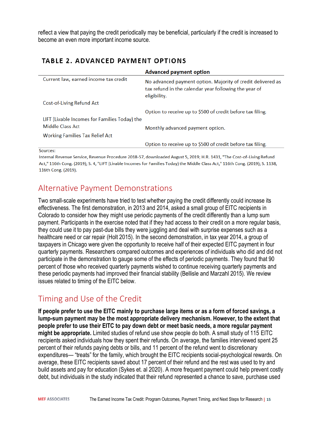reflect a view that paying the credit periodically may be beneficial, particularly if the credit is increased to become an even more important income source.

#### **TABLE 2. ADVANCED PAYMENT OPTIONS**

|                                               | <b>Advanced payment option</b>                                                                                                       |
|-----------------------------------------------|--------------------------------------------------------------------------------------------------------------------------------------|
| Current law, earned income tax credit         | No advanced payment option. Majority of credit delivered as<br>tax refund in the calendar year following the year of<br>eligibility. |
| Cost-of-Living Refund Act                     |                                                                                                                                      |
|                                               | Option to receive up to \$500 of credit before tax filing.                                                                           |
| LIFT (Livable Incomes for Families Today) the |                                                                                                                                      |
| Middle Class Act                              | Monthly advanced payment option.                                                                                                     |
| <b>Working Families Tax Relief Act</b>        |                                                                                                                                      |
|                                               | Option to receive up to \$500 of credit before tax filing.                                                                           |
| $C_{\text{minmax}}$                           |                                                                                                                                      |

Sources:

Internal Revenue Service, Revenue Procedure 2018-57, downloaded August 5, 2019; H.R. 1431, "The Cost-of-Living Refund Act," 116th Cong. (2019); S. 4, "LIFT (Livable Incomes for Families Today) the Middle Class Act," 116th Cong. (2019); S. 1138, 116th Cong. (2019).

## <span id="page-17-0"></span>Alternative Payment Demonstrations

Two small-scale experiments have tried to test whether paying the credit differently could increase its effectiveness. The first demonstration, in 2013 and 2014, asked a small group of EITC recipients in Colorado to consider how they might use periodic payments of the credit differently than a lump sum payment. Participants in the exercise noted that if they had access to their credit on a more regular basis, they could use it to pay past-due bills they were juggling and deal with surprise expenses such as a healthcare need or car repair (Holt 2015). In the second demonstration, in tax year 2014, a group of taxpayers in Chicago were given the opportunity to receive half of their expected EITC payment in four quarterly payments. Researchers compared outcomes and experiences of individuals who did and did not participate in the demonstration to gauge some of the effects of periodic payments. They found that 90 percent of those who received quarterly payments wished to continue receiving quarterly payments and these periodic payments had improved their financial stability (Bellisle and Marzahl 2015). We review issues related to timing of the EITC below.

## <span id="page-17-1"></span>Timing and Use of the Credit

**If people prefer to use the EITC mainly to purchase large items or as a form of forced savings, a lump-sum payment may be the most appropriate delivery mechanism. However, to the extent that people prefer to use their EITC to pay down debt or meet basic needs, a more regular payment might be appropriate.** Limited studies of refund use show people do both. A small study of 115 EITC recipients asked individuals how they spent their refunds. On average, the families interviewed spent 25 percent of their refunds paying debts or bills, and 11 percent of the refund went to discretionary expenditures— "treats" for the family, which brought the EITC recipients social-psychological rewards. On average, these EITC recipients saved about 17 percent of their refund and the rest was used to try and build assets and pay for education (Sykes et. al 2020). A more frequent payment could help prevent costly debt, but individuals in the study indicated that their refund represented a chance to save, purchase used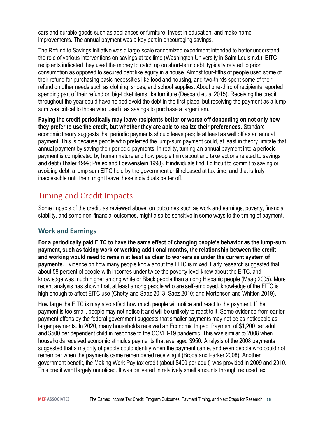cars and durable goods such as appliances or furniture, invest in education, and make home improvements. The annual payment was a key part in encouraging savings.

The Refund to Savings initiative was a large-scale randomized experiment intended to better understand the role of various interventions on savings at tax time (Washington University in Saint Louis n.d.). EITC recipients indicated they used the money to catch up on short-term debt, typically related to prior consumption as opposed to secured debt like equity in a house. Almost four-fifths of people used some of their refund for purchasing basic necessities like food and housing, and two-thirds spent some of their refund on other needs such as clothing, shoes, and school supplies. About one-third of recipients reported spending part of their refund on big-ticket items like furniture (Despard et. al 2015). Receiving the credit throughout the year could have helped avoid the debt in the first place, but receiving the payment as a lump sum was critical to those who used it as savings to purchase a larger item.

**Paying the credit periodically may leave recipients better or worse off depending on not only how they prefer to use the credit, but whether they are able to realize their preferences.** Standard economic theory suggests that periodic payments should leave people at least as well off as an annual payment. This is because people who preferred the lump-sum payment could, at least in theory, imitate that annual payment by saving their periodic payments. In reality, turning an annual payment into a periodic payment is complicated by human nature and how people think about and take actions related to savings and debt (Thaler 1999; Prelec and Loewenstein 1998). If individuals find it difficult to commit to saving or avoiding debt, a lump sum EITC held by the government until released at tax time, and that is truly inaccessible until then, might leave these individuals better off.

## <span id="page-18-0"></span>Timing and Credit Impacts

Some impacts of the credit, as reviewed above, on outcomes such as work and earnings, poverty, financial stability, and some non-financial outcomes, might also be sensitive in some ways to the timing of payment.

#### <span id="page-18-1"></span>**Work and Earnings**

**For a periodically paid EITC to have the same effect of changing people's behavior as the lump-sum payment, such as taking work or working additional months, the relationship between the credit and working would need to remain at least as clear to workers as under the current system of payments.** Evidence on how many people know about the EITC is mixed. Early research suggested that about 58 percent of people with incomes under twice the poverty level knew about the EITC, and knowledge was much higher among white or Black people than among Hispanic people (Maag 2005). More recent analysis has shown that, at least among people who are self-employed, knowledge of the EITC is high enough to affect EITC use (Chetty and Saez 2013; Saez 2010; and Mortenson and Whitten 2019).

How large the EITC is may also affect how much people will notice and react to the payment. If the payment is too small, people may not notice it and will be unlikely to react to it. Some evidence from earlier payment efforts by the federal government suggests that smaller payments may not be as noticeable as larger payments. In 2020, many households received an Economic Impact Payment of \$1,200 per adult and \$500 per dependent child in response to the COVID-19 pandemic. This was similar to 2008 when households received economic stimulus payments that averaged \$950. Analysis of the 2008 payments suggested that a majority of people could identify when the payment came, and even people who could not remember when the payments came remembered receiving it (Broda and Parker 2008). Another government benefit, the Making Work Pay tax credit (about \$400 per adult) was provided in 2009 and 2010. This credit went largely unnoticed. It was delivered in relatively small amounts through reduced tax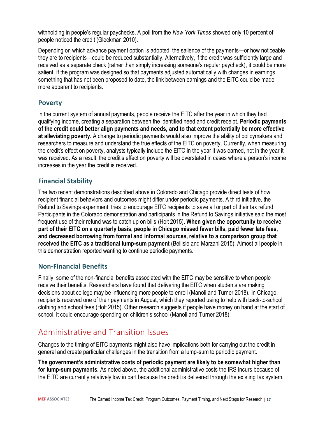withholding in people's regular paychecks. A poll from the *New York Times* showed only 10 percent of people noticed the credit (Gleckman 2010).

Depending on which advance payment option is adopted, the salience of the payments—or how noticeable they are to recipients—could be reduced substantially. Alternatively, if the credit was sufficiently large and received as a separate check (rather than simply increasing someone's regular paycheck), it could be more salient. If the program was designed so that payments adjusted automatically with changes in earnings, something that has not been proposed to date, the link between earnings and the EITC could be made more apparent to recipients.

#### <span id="page-19-0"></span>**Poverty**

In the current system of annual payments, people receive the EITC after the year in which they had qualifying income, creating a separation between the identified need and credit receipt. **Periodic payments of the credit could better align payments and needs, and to that extent potentially be more effective at alleviating poverty.** A change to periodic payments would also improve the ability of policymakers and researchers to measure and understand the true effects of the EITC on poverty. Currently, when measuring the credit's effect on poverty, analysts typically include the EITC in the year it was earned, not in the year it was received. As a result, the credit's effect on poverty will be overstated in cases where a person's income increases in the year the credit is received.

#### <span id="page-19-1"></span>**Financial Stability**

The two recent demonstrations described above in Colorado and Chicago provide direct tests of how recipient financial behaviors and outcomes might differ under periodic payments. A third initiative, the Refund to Savings experiment, tries to encourage EITC recipients to save all or part of their tax refund. Participants in the Colorado demonstration and participants in the Refund to Savings initiative said the most frequent use of their refund was to catch up on bills (Holt 2015). **When given the opportunity to receive part of their EITC on a quarterly basis, people in Chicago missed fewer bills, paid fewer late fees, and decreased borrowing from formal and informal sources, relative to a comparison group that received the EITC as a traditional lump-sum payment** (Bellisle and Marzahl 2015). Almost all people in this demonstration reported wanting to continue periodic payments.

#### <span id="page-19-2"></span>**Non-Financial Benefits**

Finally, some of the non-financial benefits associated with the EITC may be sensitive to when people receive their benefits. Researchers have found that delivering the EITC when students are making decisions about college may be influencing more people to enroll (Manoli and Turner 2018). In Chicago, recipients received one of their payments in August, which they reported using to help with back-to-school clothing and school fees (Holt 2015). Other research suggests if people have money on hand at the start of school, it could encourage spending on children's school (Manoli and Turner 2018).

#### <span id="page-19-3"></span>Administrative and Transition Issues

Changes to the timing of EITC payments might also have implications both for carrying out the credit in general and create particular challenges in the transition from a lump-sum to periodic payment.

**The government's administrative costs of periodic payment are likely to be somewhat higher than for lump-sum payments.** As noted above, the additional administrative costs the IRS incurs because of the EITC are currently relatively low in part because the credit is delivered through the existing tax system.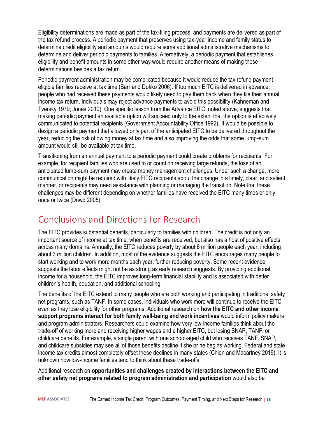Eligibility determinations are made as part of the tax-filing process, and payments are delivered as part of the tax refund process. A periodic payment that preserves using tax-year income and family status to determine credit eligibility and amounts would require some additional administrative mechanisms to determine and deliver periodic payments to families. Alternatively, a periodic payment that establishes eligibility and benefit amounts in some other way would require another means of making these determinations besides a tax return.

Periodic payment administration may be complicated because it would reduce the tax refund payment eligible families receive at tax time (Barr and Dokko 2006). If too much EITC is delivered in advance, people who had received these payments would likely need to pay them back when they file their annual income tax return. Individuals may reject advance payments to avoid this possibility (Kahneman and Tversky 1979; Jones 2010). One specific lesson from the Advance EITC, noted above, suggests that making periodic payment an available option will succeed only to the extent that the option is effectively communicated to potential recipients (Government Accountability Office 1992). It would be possible to design a periodic payment that allowed only part of the anticipated EITC to be delivered throughout the year, reducing the risk of owing money at tax time and also improving the odds that some lump-sum amount would still be available at tax time.

Transitioning from an annual payment to a periodic payment could create problems for recipients. For example, for recipient families who are used to or count on receiving large refunds, the loss of an anticipated lump-sum payment may create money management challenges. Under such a change, more communication might be required with likely EITC recipients about the change in a timely, clear, and salient manner, or recipients may need assistance with planning or managing the transition. Note that these challenges may be different depending on whether families have received the EITC many times or only once or twice (Dowd 2005).

# <span id="page-20-0"></span>Conclusions and Directions for Research

The EITC provides substantial benefits, particularly to families with children. The credit is not only an important source of income at tax time, when benefits are received, but also has a host of positive effects across many domains. Annually, the EITC reduces poverty by about 6 million people each year, including about 3 million children. In addition, most of the evidence suggests the EITC encourages many people to start working and to work more months each year, further reducing poverty. Some recent evidence suggests the labor effects might not be as strong as early research suggests. By providing additional income for a household, the EITC improves long-term financial stability and is associated with better children's health, education, and additional schooling.

The benefits of the EITC extend to many people who are both working and participating in traditional safety net programs, such as TANF. In some cases, individuals who work more will continue to receive the EITC even as they lose eligibility for other programs. Additional research on **how the EITC and other income support programs interact for both family well-being and work incentives** would inform policy makers and program administrators. Researchers could examine how very low-income families think about the trade-off of working more and receiving higher wages and a higher EITC, but losing SNAP, TANF, or childcare benefits. For example, a single parent with one school-aged child who receives TANF, SNAP, and childcare subsidies may see all of those benefits decline if she or he begins working. Federal and state income tax credits almost completely offset these declines in many states (Chien and Macartney 2019). It is unknown how low-income families tend to think about these trade-offs.

Additional research on **opportunities and challenges created by interactions between the EITC and other safety net programs related to program administration and participation** would also be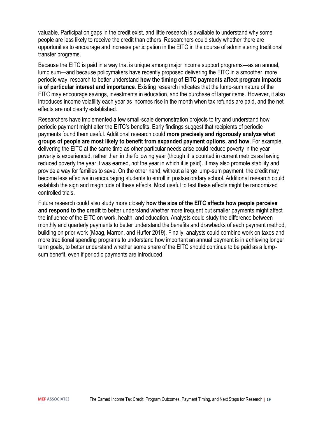valuable. Participation gaps in the credit exist, and little research is available to understand why some people are less likely to receive the credit than others. Researchers could study whether there are opportunities to encourage and increase participation in the EITC in the course of administering traditional transfer programs.

Because the EITC is paid in a way that is unique among major income support programs—as an annual, lump sum—and because policymakers have recently proposed delivering the EITC in a smoother, more periodic way, research to better understand **how the timing of EITC payments affect program impacts is of particular interest and importance**. Existing research indicates that the lump-sum nature of the EITC may encourage savings, investments in education, and the purchase of larger items. However, it also introduces income volatility each year as incomes rise in the month when tax refunds are paid, and the net effects are not clearly established.

Researchers have implemented a few small-scale demonstration projects to try and understand how periodic payment might alter the EITC's benefits. Early findings suggest that recipients of periodic payments found them useful. Additional research could **more precisely and rigorously analyze what groups of people are most likely to benefit from expanded payment options, and how**. For example, delivering the EITC at the same time as other particular needs arise could reduce poverty in the year poverty is experienced, rather than in the following year (though it is counted in current metrics as having reduced poverty the year it was earned, not the year in which it is paid). It may also promote stability and provide a way for families to save. On the other hand, without a large lump-sum payment, the credit may become less effective in encouraging students to enroll in postsecondary school. Additional research could establish the sign and magnitude of these effects. Most useful to test these effects might be randomized controlled trials.

Future research could also study more closely **how the size of the EITC affects how people perceive and respond to the credit** to better understand whether more frequent but smaller payments might affect the influence of the EITC on work, health, and education. Analysts could study the difference between monthly and quarterly payments to better understand the benefits and drawbacks of each payment method, building on prior work (Maag, Marron, and Huffer 2019). Finally, analysts could combine work on taxes and more traditional spending programs to understand how important an annual payment is in achieving longer term goals, to better understand whether some share of the EITC should continue to be paid as a lumpsum benefit, even if periodic payments are introduced.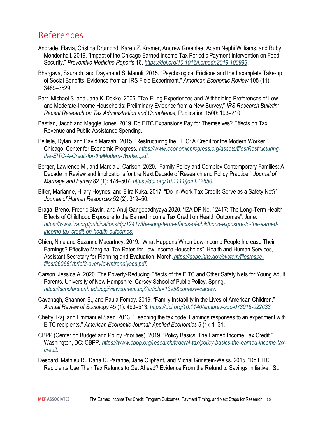# <span id="page-22-0"></span>References

- Andrade, Flavia, Cristina Drumond, Karen Z. Kramer, Andrew Greenlee, Adam Nephi Williams, and Ruby Mendenhall. 2019. "Impact of the Chicago Earned Income Tax Periodic Payment Intervention on Food Security." *Preventive Medicine Reports* 16. *<https://doi.org/10.1016/j.pmedr.2019.100993>*.
- Bhargava, Saurabh, and Dayanand S. Manoli. 2015. "Psychological Frictions and the Incomplete Take-up of Social Benefits: Evidence from an IRS Field Experiment." *American Economic Review* 105 (11): 3489–3529.
- Barr, Michael S. and Jane K. Dokko. 2006. "Tax Filing Experiences and Withholding Preferences of Lowand Moderate-Income Households: Preliminary Evidence from a New Survey," *IRS Research Bulletin: Recent Research on Tax Administration and Compliance,* Publication 1500: 193–210.
- Bastian, Jacob and Maggie Jones. 2019. Do EITC Expansions Pay for Themselves? Effects on Tax Revenue and Public Assistance Spending.
- Bellisle, Dylan, and David Marzahl. 2015. "Restructuring the EITC: A Credit for the Modern Worker." Chicago: Center for Economic Progress. *[https://www.economicprogress.org/assets/files/Restructuring](https://www.economicprogress.org/assets/files/Restructuring-the-EITC-A-Credit-for-theModern-Worker.pdf)[the-EITC-A-Credit-for-theModern-Worker.pdf.](https://www.economicprogress.org/assets/files/Restructuring-the-EITC-A-Credit-for-theModern-Worker.pdf)*
- Berger, Lawrence M., and Marcia J. Carlson. 2020. "Family Policy and Complex Contemporary Families: A Decade in Review and Implications for the Next Decade of Research and Policy Practice." *Journal of Marriage and Family* 82 (1): 478–507. *<https://doi.org/10.1111/jomf.12650>*.
- Bitler, Marianne, Hilary Hoynes, and Elira Kuka. 2017. "Do In-Work Tax Credits Serve as a Safety Net?" *Journal of Human Resources* 52 (2): 319–50.
- Braga, Breno, Fredric Blavin, and Anuj Gangopadhyaya 2020. "IZA DP No. 12417: The Long-Term Health Effects of Childhood Exposure to the Earned Income Tax Credit on Health Outcomes", June. *[https://www.iza.org/publications/dp/12417/the-long-term-effects-of-childhood-exposure-to-the-earned](https://www.iza.org/publications/dp/12417/the-long-term-effects-of-childhood-exposure-to-the-earned-income-tax-credit-on-health-outcomes)[income-tax-credit-on-health-outcomes.](https://www.iza.org/publications/dp/12417/the-long-term-effects-of-childhood-exposure-to-the-earned-income-tax-credit-on-health-outcomes)*
- Chien, Nina and Suzanne Macartney. 2019. "What Happens When Low-Income People Increase Their Earnings? Effective Marginal Tax Rates for Low-Income Households", Health and Human Services, Assistant Secretary for Planning and Evaluation. March*. https://aspe.hhs.gov/system/files/aspefiles/260661/brief2-overviewmtranalyses.pdf.*
- Carson, Jessica A. 2020. The Poverty-Reducing Effects of the EITC and Other Safety Nets for Young Adult Parents. University of New Hampshire, Carsey School of Public Policy. Spring. *[https://scholars.unh.edu/cgi/viewcontent.cgi?article=1395&context=carsey.](https://scholars.unh.edu/cgi/viewcontent.cgi?article=1395&context=carsey)*
- Cavanagh, Shannon E., and Paula Fomby. 2019. "Family Instability in the Lives of American Children." *Annual Review of Sociology* 45 (1): 493–513. *[https://doi.org/10.1146/annurev-soc-073018-022633.](https://doi.org/10.1146/annurev-soc-073018-022633)*
- Chetty, Raj, and Emmanuel Saez. 2013. "Teaching the tax code: Earnings responses to an experiment with EITC recipients." *American Economic Journal: Applied Economics* 5 (1): 1–31.
- CBPP (Center on Budget and Policy Priorities). 2019. "Policy Basics: The Earned Income Tax Credit." Washington, DC: CBPP. *[https://www.cbpp.org/research/federal-tax/policy-basics-the-earned-income-tax](https://www.cbpp.org/research/federal-tax/policy-basics-the-earned-income-tax-credit)[credit.](https://www.cbpp.org/research/federal-tax/policy-basics-the-earned-income-tax-credit)*
- Despard, Mathieu R., Dana C. Parantie, Jane Oliphant, and Michal Grinstein-Weiss. 2015. "Do EITC Recipients Use Their Tax Refunds to Get Ahead? Evidence From the Refund to Savings Initiative." St.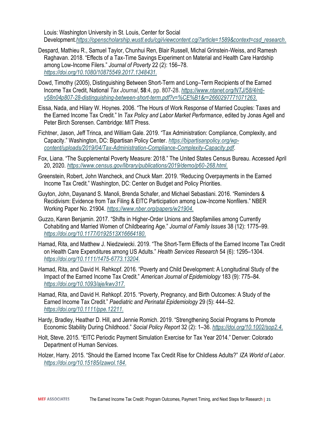Louis: Washington University in St. Louis, Center for Social Development.*[https://openscholarship.wustl.edu/cgi/viewcontent.cgi?article=1589&context=csd\\_research.](https://openscholarship.wustl.edu/cgi/viewcontent.cgi?article=1589&context=csd_research)*

- Despard, Mathieu R., Samuel Taylor, Chunhui Ren, Blair Russell, Michal Grinstein-Weiss, and Ramesh Raghavan. 2018. "Effects of a Tax-Time Savings Experiment on Material and Health Care Hardship among Low-Income Filers." *Journal of Poverty* 22 (2): 156–78. *[https://doi.org/10.1080/10875549.2017.1348431.](https://doi.org/10.1080/10875549.2017.1348431)*
- Dowd, Timothy (2005), Distinguishing Between Short-Term and Long–Term Recipients of the Earned Income Tax Credit, National *Tax Journal*, **58**:4, pp. 807-28. *[https://www.ntanet.org/NTJ/58/4/ntj](https://www.ntanet.org/NTJ/58/4/ntj-v58n04p807-28-distinguishing-between-short-term.pdf?v=%CE%B1&r=2660297771071263)[v58n04p807-28-distinguishing-between-short-term.pdf?v=%CE%B1&r=2660297771071263.](https://www.ntanet.org/NTJ/58/4/ntj-v58n04p807-28-distinguishing-between-short-term.pdf?v=%CE%B1&r=2660297771071263)*
- Eissa, Nada, and Hilary W. Hoynes. 2006. "The Hours of Work Response of Married Couples: Taxes and the Earned Income Tax Credit." In *Tax Policy and Labor Market Performance*, edited by Jonas Agell and Peter Birch Sorensen. Cambridge: MIT Press.
- Fichtner, Jason, Jeff Trinca, and William Gale. 2019. "Tax Administration: Compliance, Complexity, and Capacity." Washington, DC: Bipartisan Policy Center. *[https://bipartisanpolicy.org/wp](https://bipartisanpolicy.org/wp-content/uploads/2019/04/Tax-Administration-Compliance-Complexity-Capacity.pdf)[content/uploads/2019/04/Tax-Administration-Compliance-Complexity-Capacity.pdf](https://bipartisanpolicy.org/wp-content/uploads/2019/04/Tax-Administration-Compliance-Complexity-Capacity.pdf)*.
- Fox, Liana. "The Supplemental Poverty Measure: 2018." The United States Census Bureau. Accessed April 20, 2020. *[https://www.census.gov/library/publications/2019/demo/p60-268.html.](https://www.census.gov/library/publications/2019/demo/p60-268.html)*
- Greenstein, Robert, John Wancheck, and Chuck Marr. 2019. "Reducing Overpayments in the Earned Income Tax Credit." Washington, DC: Center on Budget and Policy Priorities.
- Guyton, John, Dayanand S. Manoli, Brenda Schafer, and Michael Sebastiani. 2016. "Reminders & Recidivism: Evidence from Tax Filing & EITC Participation among Low-Income Nonfilers." NBER Working Paper No. 21904. *[https://www.nber.org/papers/w21904.](https://www.nber.org/papers/w21904)*
- Guzzo, Karen Benjamin. 2017. "Shifts in Higher-Order Unions and Stepfamilies among Currently Cohabiting and Married Women of Childbearing Age." *Journal of Family Issues* 38 (12): 1775–99. *[https://doi.org/10.1177/0192513X16664180.](https://doi.org/10.1177/0192513X16664180)*
- Hamad, Rita, and Matthew J. Niedzwiecki. 2019. "The Short-Term Effects of the Earned Income Tax Credit on Health Care Expenditures among US Adults." *Health Services Research* 54 (6): 1295–1304. *[https://doi.org/10.1111/1475-6773.13204.](https://doi.org/10.1111/1475-6773.13204)*
- Hamad, Rita, and David H. Rehkopf. 2016. "Poverty and Child Development: A Longitudinal Study of the Impact of the Earned Income Tax Credit." *American Journal of Epidemiology* 183 (9): 775–84. *[https://doi.org/10.1093/aje/kwv317.](https://doi.org/10.1093/aje/kwv317)*
- Hamad, Rita, and David H. Rehkopf. 2015. "Poverty, Pregnancy, and Birth Outcomes: A Study of the Earned Income Tax Credit." *Paediatric and Perinatal Epidemiology* 29 (5): 444–52. *[https://doi.org/10.1111/ppe.12211.](https://doi.org/10.1111/ppe.12211)*
- Hardy, Bradley, Heather D. Hill, and Jennie Romich. 2019. "Strengthening Social Programs to Promote Economic Stability During Childhood." *Social Policy Report* 32 (2): 1–36. *[https://doi.org/10.1002/sop2.4.](https://doi.org/10.1002/sop2.4)*
- Holt, Steve. 2015. "EITC Periodic Payment Simulation Exercise for Tax Year 2014." Denver: Colorado Department of Human Services.
- Holzer, Harry. 2015. "Should the Earned Income Tax Credit Rise for Childless Adults?" *IZA World of Labor*. *[https://doi.org/10.15185/izawol.184.](https://doi.org/10.15185/izawol.184)*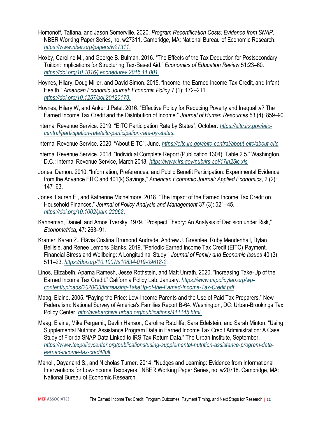- Homonoff, Tatiana, and Jason Somerville. 2020. *Program Recertification Costs: Evidence from SNAP*. NBER Working Paper Series, no. w27311. Cambridge, MA: National Bureau of Economic Research. *[https://www.nber.org/papers/w27311.](https://www.nber.org/papers/w27311)*
- Hoxby, Caroline M., and George B. Bulman. 2016. "The Effects of the Tax Deduction for Postsecondary Tuition: Implications for Structuring Tax-Based Aid." *Economics of Education Review* 51:23–60. *[https://doi.org/10.1016/j.econedurev.2015.11.001.](https://doi.org/10.1016/j.econedurev.2015.11.001)*
- Hoynes, Hilary, Doug Miller, and David Simon. 2015. "Income, the Earned Income Tax Credit, and Infant Health." *American Economic Journal: Economic Policy* 7 (1): 172–211. *[https://doi.org/10.1257/pol.20120179.](https://doi.org/10.1257/pol.20120179)*
- Hoynes, Hilary W, and Ankur J Patel. 2016. "Effective Policy for Reducing Poverty and Inequality? The Earned Income Tax Credit and the Distribution of Income." *Journal of Human Resources* 53 (4): 859–90.
- Internal Revenue Service. 2019. "EITC Participation Rate by States", October. *[https://eitc.irs.gov/eitc](https://eitc.irs.gov/eitc-central/participation-rate/eitc-participation-rate-by-states)[central/participation-rate/eitc-participation-rate-by-states](https://eitc.irs.gov/eitc-central/participation-rate/eitc-participation-rate-by-states)*.
- Internal Revenue Service. 2020. "About EITC", June. *<https://eitc.irs.gov/eitc-central/about-eitc/about-eitc>*
- Internal Revenue Service. 2018. "Individual Complete Report (Publication 1304), Table 2.5." Washington, D.C.: Internal Revenue Service, March 2018. *<https://www.irs.gov/pub/irs-soi/17in25ic.xls>*
- Jones, Damon. 2010. "Information, Preferences, and Public Benefit Participation: Experimental Evidence from the Advance EITC and 401(k) Savings," *American Economic Journal: Applied Economics*, 2 (2): 147–63.
- Jones, Lauren E., and Katherine Michelmore. 2018. "The Impact of the Earned Income Tax Credit on Household Finances." *Journal of Policy Analysis and Management* 37 (3): 521–45. *<https://doi.org/10.1002/pam.22062>*.
- Kahneman, Daniel, and Amos Tversky. 1979. "Prospect Theory: An Analysis of Decision under Risk," *Econometrica,* 47: 263–91.
- Kramer, Karen Z., Flávia Cristina Drumond Andrade, Andrew J. Greenlee, Ruby Mendenhall, Dylan Bellisle, and Renee Lemons Blanks. 2019. "Periodic Earned Income Tax Credit (EITC) Payment, Financial Stress and Wellbeing: A Longitudinal Study." *Journal of Family and Economic Issues* 40 (3): 511–23. *<https://doi.org/10.1007/s10834-019-09618-2>*.
- Linos, Elizabeth, Aparna Ramesh, Jesse Rothstein, and Matt Unrath. 2020. "Increasing Take-Up of the Earned Income Tax Credit." California Policy Lab. January. *[https://www.capolicylab.org/wp](https://www.capolicylab.org/wp-content/uploads/2020/03/Increasing-TakeUp-of-the-Earned-Income-Tax-Credit.pdf)[content/uploads/2020/03/Increasing-TakeUp-of-the-Earned-Income-Tax-Credit.pdf](https://www.capolicylab.org/wp-content/uploads/2020/03/Increasing-TakeUp-of-the-Earned-Income-Tax-Credit.pdf)*.
- Maag, Elaine. 2005. "Paying the Price: Low-Income Parents and the Use of Paid Tax Preparers." New Federalism: National Survey of America's Families Report B-64. Washington, DC: Urban-Brookings Tax Policy Center. *[http://webarchive.urban.org/publications/411145.html.](http://webarchive.urban.org/publications/411145.html)*
- Maag, Elaine, Mike Pergamit, Devlin Hanson, Caroline Ratcliffe, Sara Edelstein, and Sarah Minton. "Using Supplemental Nutrition Assistance Program Data in Earned Income Tax Credit Administration: A Case Study of Florida SNAP Data Linked to IRS Tax Return Data." The Urban Institute, September. *[https://www.taxpolicycenter.org/publications/using-supplemental-nutrition-assistance-program-data](https://www.taxpolicycenter.org/publications/using-supplemental-nutrition-assistance-program-data-earned-income-tax-credit/full)[earned-income-tax-credit/full](https://www.taxpolicycenter.org/publications/using-supplemental-nutrition-assistance-program-data-earned-income-tax-credit/full)*.
- Manoli, Dayanand S., and Nicholas Turner. 2014. "Nudges and Learning: Evidence from Informational Interventions for Low-Income Taxpayers." NBER Working Paper Series, no. w20718. Cambridge, MA: National Bureau of Economic Research.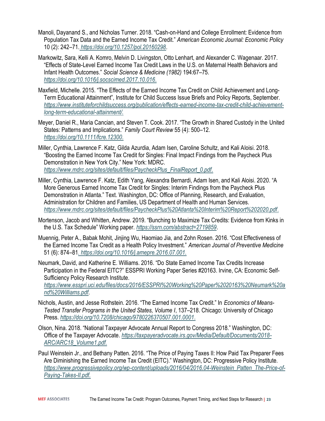- Manoli, Dayanand S., and Nicholas Turner. 2018. "Cash-on-Hand and College Enrollment: Evidence from Population Tax Data and the Earned Income Tax Credit." *American Economic Journal: Economic Policy* 10 (2): 242–71. *<https://doi.org/10.1257/pol.20160298>*.
- Markowitz, Sara, Kelli A. Komro, Melvin D. Livingston, Otto Lenhart, and Alexander C. Wagenaar. 2017. "Effects of State-Level Earned Income Tax Credit Laws in the U.S. on Maternal Health Behaviors and Infant Health Outcomes." *Social Science & Medicine (1982)* 194:67–75. *[https://doi.org/10.1016/j.socscimed.2017.10.016.](https://doi.org/10.1016/j.socscimed.2017.10.016)*
- Maxfield, Michelle. 2015. "The Effects of the Earned Income Tax Credit on Child Achievement and Long-Term Educational Attainment", Institute for Child Success Issue Briefs and Policy Reports, September. *[https://www.instituteforchildsuccess.org/publication/effects-earned-income-tax-credit-child-achievement](https://www.instituteforchildsuccess.org/publication/effects-earned-income-tax-credit-child-achievement-long-term-educational-attainment/)[long-term-educational-attainment/.](https://www.instituteforchildsuccess.org/publication/effects-earned-income-tax-credit-child-achievement-long-term-educational-attainment/)*
- Meyer, Daniel R., Maria Cancian, and Steven T. Cook. 2017. "The Growth in Shared Custody in the United States: Patterns and Implications." *Family Court Review* 55 (4): 500–12. *[https://doi.org/10.1111/fcre.12300.](https://doi.org/10.1111/fcre.12300)*
- Miller, Cynthia, Lawrence F. Katz, Gilda Azurdia, Adam Isen, Caroline Schultz, and Kali Aloisi. 2018. "Boosting the Earned Income Tax Credit for Singles: Final Impact Findings from the Paycheck Plus Demonstration in New York City." New York: MDRC. *[https://www.mdrc.org/sites/default/files/PaycheckPlus\\_FinalReport\\_0.pdf.](https://www.mdrc.org/sites/default/files/PaycheckPlus_FinalReport_0.pdf)*
- Miller, Cynthia, Lawrence F. Katz, Edith Yang, Alexandra Bernardi, Adam Isen, and Kali Aloisi. 2020. "A More Generous Earned Income Tax Credit for Singles: Interim Findings from the Paycheck Plus Demonstration in Atlanta." Text. Washington, DC: Office of Planning, Research, and Evaluation, Administration for Children and Families, US Department of Health and Human Services. *[https://www.mdrc.org/sites/default/files/PaycheckPlus%20Atlanta%20Interim%20Report%202020.pdf.](https://www.mdrc.org/sites/default/files/PaycheckPlus%20Atlanta%20Interim%20Report%202020.pdf)*
- Mortenson, Jacob and Whitten, Andrew. 2019. "Bunching to Maximize Tax Credits: Evidence from Kinks in the U.S. Tax Schedule" Working paper. *<https://ssrn.com/abstract=2719859>*.
- Muennig, Peter A., Babak Mohit, Jinjing Wu, Haomiao Jia, and Zohn Rosen. 2016. "Cost Effectiveness of the Earned Income Tax Credit as a Health Policy Investment." *American Journal of Preventive Medicine* 51 (6): 874–81*. [https://doi.org/10.1016/j.amepre.2016.07.001.](https://doi.org/10.1016/j.amepre.2016.07.001)*
- Neumark, David, and Katherine E. Williams. 2016. "Do State Earned Income Tax Credits Increase Participation in the Federal EITC?" ESSPRI Working Paper Series #20163. Irvine, CA: Economic Self-Sufficiency Policy Research Institute. *[https://www.esspri.uci.edu/files/docs/2016/ESSPRI%20Working%20Paper%2020163%20Neumark%20a](https://www.esspri.uci.edu/files/docs/2016/ESSPRI%20Working%20Paper%2020163%20Neumark%20and%20Williams.pdf)*
- *[nd%20Williams.pdf](https://www.esspri.uci.edu/files/docs/2016/ESSPRI%20Working%20Paper%2020163%20Neumark%20and%20Williams.pdf)*. Nichols, Austin, and Jesse Rothstein. 2016. "The Earned Income Tax Credit." In *Economics of Means-Tested Transfer Programs in the United States, Volume I*, 137–218. Chicago: University of Chicago Press. *[https://doi.org/10.7208/chicago/9780226370507.001.0001.](https://doi.org/10.7208/chicago/9780226370507.001.0001)*
- Olson, Nina. 2018. "National Taxpayer Advocate Annual Report to Congress 2018." Washington, DC: Office of the Taxpayer Advocate. *[https://taxpayeradvocate.irs.gov/Media/Default/Documents/2018-](https://taxpayeradvocate.irs.gov/Media/Default/Documents/2018-ARC/ARC18_Volume1.pdf) [ARC/ARC18\\_Volume1.pdf.](https://taxpayeradvocate.irs.gov/Media/Default/Documents/2018-ARC/ARC18_Volume1.pdf)*
- Paul Weinstein Jr., and Bethany Patten. 2016. "The Price of Paying Taxes II: How Paid Tax Preparer Fees Are Diminishing the Earned Income Tax Credit (EITC)." Washington, DC: Progressive Policy Institute. *[https://www.progressivepolicy.org/wp-content/uploads/2016/04/2016.04-Weinstein\\_Patten\\_The-Price-of-](https://www.progressivepolicy.org/wp-content/uploads/2016/04/2016.04-Weinstein_Patten_The-Price-of-Paying-Takes-II.pdf)[Paying-Takes-II.pdf.](https://www.progressivepolicy.org/wp-content/uploads/2016/04/2016.04-Weinstein_Patten_The-Price-of-Paying-Takes-II.pdf)*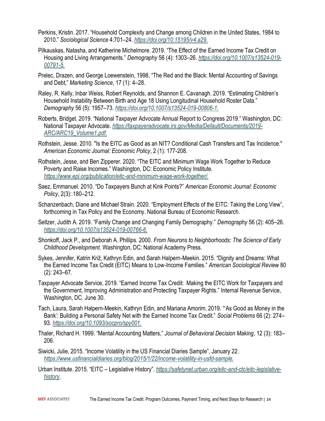- Perkins, Kristin. 2017. "Household Complexity and Change among Children in the United States, 1984 to 2010." *Sociological Science* 4:701–24. *[https://doi.org/10.15195/v4.a29.](https://doi.org/10.15195/v4.a29)*
- Pilkauskas, Natasha, and Katherine Michelmore. 2019. "The Effect of the Earned Income Tax Credit on Housing and Living Arrangements." *Demography* 56 (4): 1303–26. *[https://doi.org/10.1007/s13524-019-](https://doi.org/10.1007/s13524-019-00791-5) [00791-5.](https://doi.org/10.1007/s13524-019-00791-5)*
- Prelec, Drazen, and George Loewenstein, 1998. "The Red and the Black: Mental Accounting of Savings and Debt," *Marketing Science*, 17 (1): 4–28.
- Raley, R. Kelly, Inbar Weiss, Robert Reynolds, and Shannon E. Cavanagh. 2019. "Estimating Children's Household Instability Between Birth and Age 18 Using Longitudinal Household Roster Data." *Demography* 56 (5): 1957–73. *[https://doi.org/10.1007/s13524-019-00806-1.](https://doi.org/10.1007/s13524-019-00806-1)*
- Roberts, Bridget. 2019. "National Taxpayer Advocate Annual Report to Congress 2019." Washington, DC: National Taxpayer Advocate. *[https://taxpayeradvocate.irs.gov/Media/Default/Documents/2019-](https://taxpayeradvocate.irs.gov/Media/Default/Documents/2019-ARC/ARC19_Volume1.pdf) [ARC/ARC19\\_Volume1.pdf.](https://taxpayeradvocate.irs.gov/Media/Default/Documents/2019-ARC/ARC19_Volume1.pdf)*
- Rothstein, Jesse. 2010. "Is the EITC as Good as an NIT? Conditional Cash Transfers and Tax Incidence." *American Economic Journal: Economic Policy*, 2 (1): 177-208.
- Rothstein, Jesse, and Ben Zipperer. 2020. "The EITC and Minimum Wage Work Together to Reduce Poverty and Raise Incomes." Washington, DC: Economic Policy Institute. *[https://www.epi.org/publication/eitc-and-minimum-wage-work-together/.](https://www.epi.org/publication/eitc-and-minimum-wage-work-together/)*
- Saez, Emmanuel. 2010. "Do Taxpayers Bunch at Kink Points?" *American Economic Journal: Economic Policy*, 2(3): 180–212.
- Schanzenbach, Diane and Michael Strain. 2020. "Employment Effects of the EITC: Taking the Long View", forthcoming in Tax Policy and the Economy. National Bureau of Economic Research.
- Seltzer, Judith A. 2019. "Family Change and Changing Family Demography." *Demography* 56 (2): 405–26. *[https://doi.org/10.1007/s13524-019-00766-6.](https://doi.org/10.1007/s13524-019-00766-6)*
- Shonkoff, Jack P., and Deborah A. Phillips. 2000. *From Neurons to Neighborhoods: The Science of Early Childhood Development.* Washington, DC: National Academy Press.
- Sykes, Jennifer, Katrin Križ, Kathryn Edin, and Sarah Halpern-Meekin. 2015. "Dignity and Dreams: What the Earned Income Tax Credit (EITC) Means to Low-Income Families." *American Sociological Review* 80 (2): 243–67.
- Taxpayer Advocate Service, 2019. "Earned Income Tax Credit: Making the EITC Work for Taxpayers and the Government, Improving Administration and Protecting Taxpayer Rights." Internal Revenue Service, Washington, DC. June 30.
- Tach, Laura, Sarah Halpern-Meekin, Kathryn Edin, and Mariana Amorim. 2019. "'As Good as Money in the Bank': Building a Personal Safety Net with the Earned Income Tax Credit." *Social Problems* 66 (2): 274– 93. *[https://doi.org/10.1093/socpro/spy001.](https://doi.org/10.1093/socpro/spy001)*
- Thaler, Richard H. 1999. "Mental Accounting Matters," *Journal of Behavioral Decision Making*, 12 (3): 183– 206.
- Siwicki, Julie, 2015. "Income Volatility in the US Financial Diaries Sample", January 22. *[https://www.usfinancialdiaries.org/blog/2015/1/22/income-volatility-in-usfd-sample.](https://www.usfinancialdiaries.org/blog/2015/1/22/income-volatility-in-usfd-sample)*
- Urban Institute. 2015. "EITC Legislative History". *[https://safetynet.urban.org/eitc-and-ctc/eitc-legislative](https://safetynet.urban.org/eitc-and-ctc/eitc-legislative-history)[history](https://safetynet.urban.org/eitc-and-ctc/eitc-legislative-history)*.